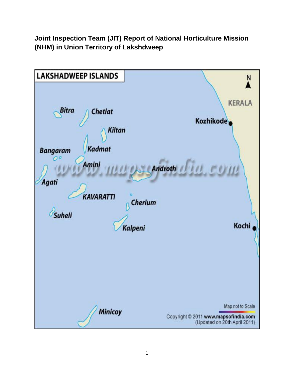**Joint Inspection Team (JIT) Report of National Horticulture Mission (NHM) in Union Territory of Lakshdweep**

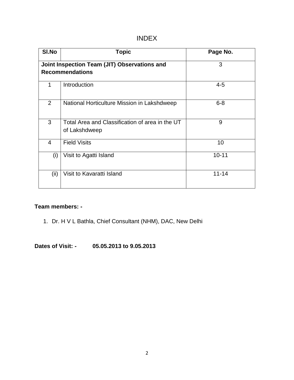# INDEX

| SI.No          | <b>Topic</b>                                                           | Page No.  |
|----------------|------------------------------------------------------------------------|-----------|
|                | Joint Inspection Team (JIT) Observations and<br><b>Recommendations</b> | 3         |
|                | Introduction                                                           | $4 - 5$   |
| 2              | National Horticulture Mission in Lakshdweep                            | $6 - 8$   |
| 3              | Total Area and Classification of area in the UT<br>of Lakshdweep       | 9         |
| $\overline{4}$ | <b>Field Visits</b>                                                    | 10        |
| (i)            | Visit to Agatti Island                                                 | $10 - 11$ |
| (ii)           | Visit to Kavaratti Island                                              | $11 - 14$ |

# **Team members: -**

1. Dr. H V L Bathla, Chief Consultant (NHM), DAC, New Delhi

**Dates of Visit: - 05.05.2013 to 9.05.2013**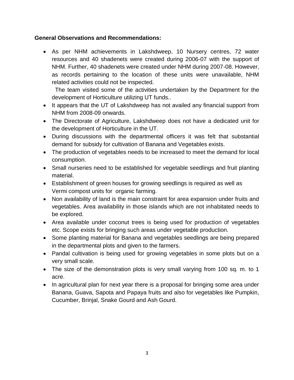## **General Observations and Recommendations:**

 As per NHM achievements in Lakshdweep, 10 Nursery centres, 72 water resources and 40 shadenets were created during 2006-07 with the support of NHM. Further, 40 shadenets were created under NHM during 2007-08. However, as records pertaining to the location of these units were unavailable, NHM related activities could not be inspected.

 The team visited some of the activities undertaken by the Department for the development of Horticulture utilizing UT funds..

- It appears that the UT of Lakshdweep has not availed any financial support from NHM from 2008-09 onwards.
- The Directorate of Agriculture, Lakshdweep does not have a dedicated unit for the development of Horticulture in the UT.
- During discussions with the departmental officers it was felt that substantial demand for subsidy for cultivation of Banana and Vegetables exists.
- The production of vegetables needs to be increased to meet the demand for local consumption.
- Small nurseries need to be established for vegetable seedlings and fruit planting material.
- Establishment of green houses for growing seedlings is required as well as Vermi compost units for organic farming.
- Non availability of land is the main constraint for area expansion under fruits and vegetables. Area availability in those islands which are not inhabitated needs to be explored.
- Area available under coconut trees is being used for production of vegetables etc. Scope exists for bringing such areas under vegetable production.
- Some planting material for Banana and vegetables seedlings are being prepared in the departmental plots and given to the farmers.
- Pandal cultivation is being used for growing vegetables in some plots but on a very small scale.
- The size of the demonstration plots is very small varying from 100 sq. m. to 1 acre.
- In agricultural plan for next year there is a proposal for bringing some area under Banana, Guava, Sapota and Papaya fruits and also for vegetables like Pumpkin, Cucumber, Brinjal, Snake Gourd and Ash Gourd.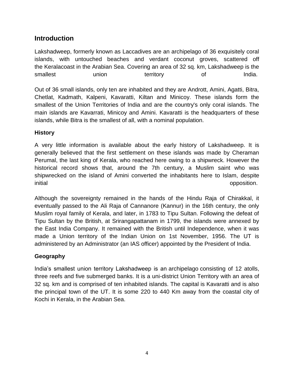# **Introduction**

Lakshadweep, formerly known as Laccadives are an archipelago of 36 exquisitely coral islands, with untouched beaches and verdant coconut groves, scattered off the Keralacoast in the Arabian Sea. Covering an area of 32 sq. km, Lakshadweep is the smallest **union** territory of India.

Out of 36 small islands, only ten are inhabited and they are Andrott, Amini, Agatti, Bitra, Chetlat, Kadmath, Kalpeni, Kavaratti, Kiltan and Minicoy. These islands form the smallest of the Union Territories of India and are the country's only coral islands. The main islands are Kavarrati, Minicoy and Amini. Kavaratti is the headquarters of these islands, while Bitra is the smallest of all, with a nominal population.

# **History**

A very little information is available about the early history of Lakshadweep. It is generally believed that the first settlement on these islands was made by Cheraman Perumal, the last king of Kerala, who reached here owing to a shipwreck. However the historical record shows that, around the 7th century, a Muslim saint who was shipwrecked on the island of Amini converted the inhabitants here to Islam, despite initial **opposition**.

Although the sovereignty remained in the hands of the Hindu Raja of Chirakkal, it eventually passed to the Ali Raja of Cannanore (Kannur) in the 16th century, the only Muslim royal family of Kerala, and later, in 1783 to Tipu Sultan. Following the defeat of Tipu Sultan by the British, at Srirangapattanam in 1799, the islands were annexed by the East India Company. It remained with the British until Independence, when it was made a Union territory of the Indian Union on 1st November, 1956. The UT is administered by an Administrator (an IAS officer) appointed by the President of India.

# **Geography**

India's smallest union territory Lakshadweep is an archipelago consisting of 12 atolls, three reefs and five submerged banks. It is a uni-district Union Territory with an area of 32 sq. km and is comprised of ten inhabited islands. The capital is Kavaratti and is also the principal town of the UT. It is some 220 to 440 Km away from the coastal city of Kochi in Kerala, in the Arabian Sea.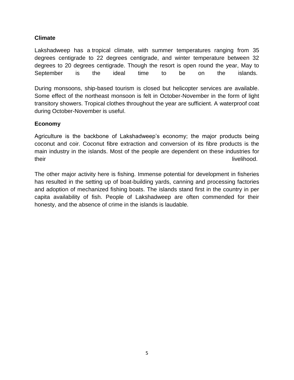## **Climate**

Lakshadweep has a tropical climate, with summer temperatures ranging from 35 degrees centigrade to 22 degrees centigrade, and winter temperature between 32 degrees to 20 degrees centigrade. Though the resort is open round the year, May to September is the ideal time to be on the islands.

During monsoons, ship-based tourism is closed but helicopter services are available. Some effect of the northeast monsoon is felt in October-November in the form of light transitory showers. Tropical clothes throughout the year are sufficient. A waterproof coat during October-November is useful.

### **Economy**

Agriculture is the backbone of Lakshadweep's economy; the major products being coconut and coir. Coconut fibre extraction and conversion of its fibre products is the main industry in the islands. Most of the people are dependent on these industries for their livelihood.

The other major activity here is fishing. Immense potential for development in fisheries has resulted in the setting up of boat-building yards, canning and processing factories and adoption of mechanized fishing boats. The islands stand first in the country in per capita availability of fish. People of Lakshadweep are often commended for their honesty, and the absence of crime in the islands is laudable.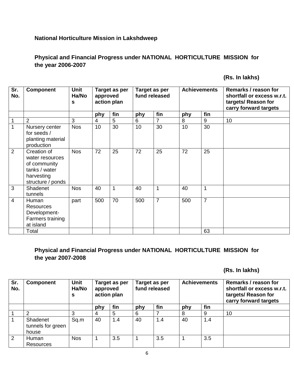## **National Horticulture Mission in Lakshdweep**

# **Physical and Financial Progress under NATIONAL HORTICULTURE MISSION for the year 2006-2007**

 **(Rs. In lakhs)**

| Sr.<br>No.     | <b>Component</b>                                                                                   | Unit<br>Ha/No<br>S |                 | Target as per<br>approved<br>action plan |     | Target as per<br>fund released |     | <b>Achievements</b> | Remarks / reason for<br>shortfall or excess w.r.t.<br>targets/ Reason for<br>carry forward targets |
|----------------|----------------------------------------------------------------------------------------------------|--------------------|-----------------|------------------------------------------|-----|--------------------------------|-----|---------------------|----------------------------------------------------------------------------------------------------|
|                |                                                                                                    |                    | phy             | fin                                      | phy | fin                            | phy | fin                 |                                                                                                    |
| 1              | $\overline{2}$                                                                                     | 3                  | $\overline{4}$  | 5                                        | 6   | 7                              | 8   | 9                   | 10                                                                                                 |
| 1              | Nursery center<br>for seeds /<br>planting material<br>production                                   | <b>Nos</b>         | 10 <sup>°</sup> | 30                                       |     | 30                             | 10  | 30                  |                                                                                                    |
| $\overline{2}$ | Creation of<br>water resources<br>of community<br>tanks / water<br>harvesting<br>structure / ponds | <b>Nos</b>         | 72              | 25                                       | 72  | 25                             | 72  | 25                  |                                                                                                    |
| 3              | Shadenet<br>tunnels                                                                                | <b>Nos</b>         | 40              | $\mathbf 1$                              | 40  | 1                              | 40  | 1                   |                                                                                                    |
| $\overline{4}$ | Human<br><b>Resources</b><br>Development-<br>Farmers training<br>at island                         | part               | 500             | 70                                       | 500 | $\overline{7}$                 | 500 | $\overline{7}$      |                                                                                                    |
|                | Total                                                                                              |                    |                 |                                          |     |                                |     | 63                  |                                                                                                    |

## **Physical and Financial Progress under NATIONAL HORTICULTURE MISSION for the year 2007-2008**

 **(Rs. In lakhs)**

| Sr.<br>No. | <b>Component</b>                       | <b>Unit</b><br>Ha/No<br>s | Target as per<br>approved<br>action plan |     | Target as per<br>fund released |     | <b>Achievements</b> |     | Remarks / reason for<br>shortfall or excess w.r.t.<br>targets/ Reason for<br>carry forward targets |
|------------|----------------------------------------|---------------------------|------------------------------------------|-----|--------------------------------|-----|---------------------|-----|----------------------------------------------------------------------------------------------------|
|            |                                        |                           | phy                                      | fin | phy                            | fin | phy                 | fin |                                                                                                    |
|            |                                        |                           |                                          | 5   | 6                              |     | 8                   | 9   | 10                                                                                                 |
|            | Shadenet<br>tunnels for green<br>house | Sq.m                      | 40                                       | 1.4 | 40                             | 1.4 | 40                  | 1.4 |                                                                                                    |
| 2          | Human<br>Resources                     | <b>Nos</b>                |                                          | 3.5 |                                | 3.5 |                     | 3.5 |                                                                                                    |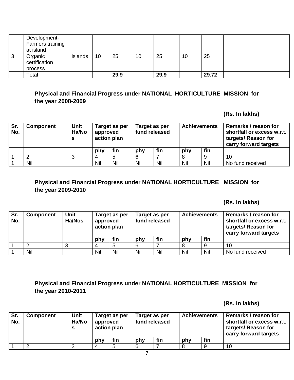|        | Development-<br>Farmers training<br>at island |         |    |      |    |      |    |       |  |
|--------|-----------------------------------------------|---------|----|------|----|------|----|-------|--|
| ົ<br>د | Organic<br>certification                      | islands | 10 | 25   | 10 | 25   | 10 | 25    |  |
|        | process                                       |         |    |      |    |      |    |       |  |
|        | Total                                         |         |    | 29.9 |    | 29.9 |    | 29.72 |  |

# **Physical and Financial Progress under NATIONAL HORTICULTURE MISSION for the year 2008-2009**

### **(Rs. In lakhs)**

| Sr.<br>No. | <b>Component</b> | <b>Unit</b><br>Ha/No | approved<br>action plan | Target as per |            | Target as per<br>fund released |            | <b>Achievements</b> | Remarks / reason for<br>shortfall or excess w.r.t.<br>targets/ Reason for<br>carry forward targets |
|------------|------------------|----------------------|-------------------------|---------------|------------|--------------------------------|------------|---------------------|----------------------------------------------------------------------------------------------------|
|            |                  |                      | phy                     | fin           |            | fin                            | phy        | fin                 |                                                                                                    |
|            |                  | ◠<br>J               |                         |               |            |                                |            |                     | 10                                                                                                 |
|            | Nil              |                      | Nil<br>Nil              |               | Nil<br>Nil |                                | Nil<br>Nil |                     | No fund received                                                                                   |

# **Physical and Financial Progress under NATIONAL HORTICULTURE MISSION for the year 2009-2010**

 **(Rs. In lakhs)**

| Sr.<br>No. | <b>Component</b> | Unit<br><b>Ha/Nos</b> | Target as per<br>approved<br>action plan |     | Target as per<br>fund released |     | <b>Achievements</b> |                  | Remarks / reason for<br>shortfall or excess w.r.t.<br>targets/ Reason for<br>carry forward targets |
|------------|------------------|-----------------------|------------------------------------------|-----|--------------------------------|-----|---------------------|------------------|----------------------------------------------------------------------------------------------------|
|            |                  |                       | phy                                      | fin | phy                            | fin | phy                 | fin              |                                                                                                    |
|            |                  |                       |                                          |     | 6                              |     |                     | 9                | 10                                                                                                 |
|            | Nil<br>Nil       |                       | Nil                                      | Nil | Nil                            | Nil | Nil                 | No fund received |                                                                                                    |

# **Physical and Financial Progress under NATIONAL HORTICULTURE MISSION for the year 2010-2011**

#### **(Rs. In lakhs)**

| Sr.<br>No. | <b>Component</b> | <b>Unit</b><br>Ha/No | Target as per<br>approved<br>action plan |     |  | Target as per<br>fund released |     | <b>Achievements</b> | Remarks / reason for<br>shortfall or excess w.r.t.<br>targets/ Reason for<br>carry forward targets |
|------------|------------------|----------------------|------------------------------------------|-----|--|--------------------------------|-----|---------------------|----------------------------------------------------------------------------------------------------|
|            |                  |                      | phy                                      | fin |  | fin                            | phy | fin                 |                                                                                                    |
|            |                  |                      |                                          | 5   |  |                                |     |                     | 10                                                                                                 |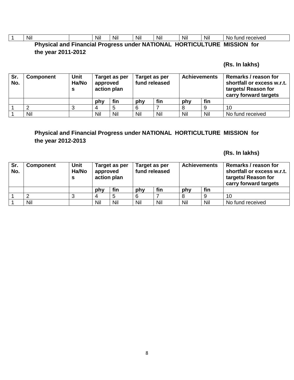|                                                                         | Nil |  | Nil | Nil | Nil | Nil | Nil | Nil | No fund received |  |
|-------------------------------------------------------------------------|-----|--|-----|-----|-----|-----|-----|-----|------------------|--|
| Physical and Financial Progress under NATIONAL HORTICULTURE MISSION for |     |  |     |     |     |     |     |     |                  |  |

# **the year 2011-2012**

# **(Rs. In lakhs)**

| Sr.<br>No. | <b>Component</b> | <b>Unit</b><br>Ha/No | approved<br>action plan | Target as per | Target as per<br>fund released |     | <b>Achievements</b> |     | Remarks / reason for<br>shortfall or excess w.r.t.<br>targets/ Reason for<br>carry forward targets |
|------------|------------------|----------------------|-------------------------|---------------|--------------------------------|-----|---------------------|-----|----------------------------------------------------------------------------------------------------|
|            |                  |                      | phy                     | fin           | phy                            | fin | phy                 | fin |                                                                                                    |
|            |                  | u                    |                         |               |                                |     |                     |     | 10                                                                                                 |
|            | Nil              |                      | Nil<br>Nil              |               | Nil<br>Nil                     |     | Nil<br>Nil          |     | No fund received                                                                                   |

# **Physical and Financial Progress under NATIONAL HORTICULTURE MISSION for the year 2012-2013**

 **(Rs. In lakhs)**

| Sr.<br>No. | <b>Component</b> | <b>Unit</b><br>Ha/No | approved<br>action plan | Target as per | Target as per<br>fund released |     | <b>Achievements</b> |     | Remarks / reason for<br>shortfall or excess w.r.t.<br>targets/ Reason for<br>carry forward targets |
|------------|------------------|----------------------|-------------------------|---------------|--------------------------------|-----|---------------------|-----|----------------------------------------------------------------------------------------------------|
|            |                  |                      | phy                     | fin           |                                | fin | phy                 | fin |                                                                                                    |
|            |                  |                      |                         |               | 6                              |     |                     |     | 10                                                                                                 |
|            | Nil              |                      | Nil<br>Nil              |               | Nil                            | Nil |                     | Nil | No fund received                                                                                   |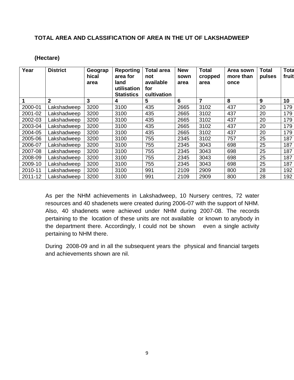### **TOTAL AREA AND CLASSIFICATION OF AREA IN THE UT OF LAKSHADWEEP**

### **(Hectare)**

| Year    | <b>District</b> | Geograp<br>hical<br>area | Reporting<br>area for<br>land<br>utilisation<br><b>Statistics</b> | <b>Total area</b><br>not<br>available<br>for<br>cultivation | <b>New</b><br>sown<br>area | <b>Total</b><br>cropped<br>area | Area sown<br>more than<br>once | <b>Total</b><br>pulses | <b>Tota</b><br>fruit |
|---------|-----------------|--------------------------|-------------------------------------------------------------------|-------------------------------------------------------------|----------------------------|---------------------------------|--------------------------------|------------------------|----------------------|
|         | $\mathbf{2}$    | 3                        | 4                                                                 | 5                                                           | 6                          | 7                               | 8                              | 9                      | 10                   |
| 2000-01 | Lakshadweep     | 3200                     | 3100                                                              | 435                                                         | 2665                       | 3102                            | 437                            | 20                     | 179                  |
| 2001-02 | Lakshadweep     | 3200                     | 3100                                                              | 435                                                         | 2665                       | 3102                            | 437                            | 20                     | 179                  |
| 2002-03 | Lakshadweep     | 3200                     | 3100                                                              | 435                                                         | 2665                       | 3102                            | 437                            | 20                     | 179                  |
| 2003-04 | Lakshadweep     | 3200                     | 3100                                                              | 435                                                         | 2665                       | 3102                            | 437                            | 20                     | 179                  |
| 2004-05 | Lakshadweep     | 3200                     | 3100                                                              | 435                                                         | 2665                       | 3102                            | 437                            | 20                     | 179                  |
| 2005-06 | Lakshadweep     | 3200                     | 3100                                                              | 755                                                         | 2345                       | 3102                            | 757                            | 25                     | 187                  |
| 2006-07 | Lakshadweep     | 3200                     | 3100                                                              | 755                                                         | 2345                       | 3043                            | 698                            | 25                     | 187                  |
| 2007-08 | Lakshadweep     | 3200                     | 3100                                                              | 755                                                         | 2345                       | 3043                            | 698                            | 25                     | 187                  |
| 2008-09 | Lakshadweep     | 3200                     | 3100                                                              | 755                                                         | 2345                       | 3043                            | 698                            | 25                     | 187                  |
| 2009-10 | Lakshadweep     | 3200                     | 3100                                                              | 755                                                         | 2345                       | 3043                            | 698                            | 25                     | 187                  |
| 2010-11 | Lakshadweep     | 3200                     | 3100                                                              | 991                                                         | 2109                       | 2909                            | 800                            | 28                     | 192                  |
| 2011-12 | Lakshadweep     | 3200                     | 3100                                                              | 991                                                         | 2109                       | 2909                            | 800                            | 28                     | 192                  |

As per the NHM achievements in Lakshadweep, 10 Nursery centres, 72 water resources and 40 shadenets were created during 2006-07 with the support of NHM. Also, 40 shadenets were achieved under NHM during 2007-08. The records pertaining to the location of these units are not available or known to anybody in the department there. Accordingly, I could not be shown even a single activity pertaining to NHM there.

During 2008-09 and in all the subsequent years the physical and financial targets and achievements shown are nil.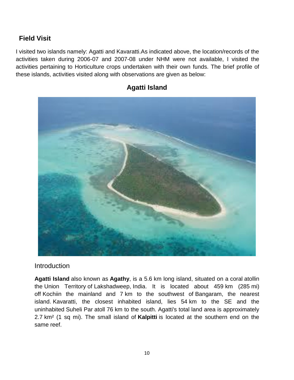# **Field Visit**

I visited two islands namely: Agatti and Kavaratti.As indicated above, the location/records of the activities taken during 2006-07 and 2007-08 under NHM were not available, I visited the activities pertaining to Horticulture crops undertaken with their own funds. The brief profile of these islands, activities visited along with observations are given as below:



# **Agatti Island**

# Introduction

**Agatti Island** also known as **Agathy**, is a 5.6 km long island, situated on a [coral](http://en.wikipedia.org/wiki/Coral) [atolli](http://en.wikipedia.org/wiki/Atoll)n the [Union Territory](http://en.wikipedia.org/wiki/Union_Territory) of [Lakshadweep,](http://en.wikipedia.org/wiki/Lakshadweep) [India.](http://en.wikipedia.org/wiki/India) It is located about 459 km (285 mi) off [Kochii](http://en.wikipedia.org/wiki/Kochi)n the mainland and 7 km to the southwest of [Bangaram,](http://en.wikipedia.org/wiki/Bangaram_Atoll) the nearest island. [Kavaratti,](http://en.wikipedia.org/wiki/Kavaratti) the closest inhabited island, lies 54 km to the SE and the uninhabited [Suheli Par](http://en.wikipedia.org/wiki/Suheli_Par) atoll 76 km to the south. Agatti's total land area is approximately 2.7 km² (1 sq mi). The small island of **Kalpitti** is located at the southern end on the same reef.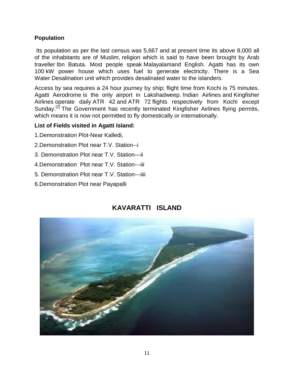### **Population**

Its population as per the last census was 5,667 and at present time its above 8,000 all of the inhabitants are of Muslim, religion which is said to have been brought by Arab traveller [Ibn Batuta.](http://en.wikipedia.org/wiki/Ibn_Batuta) Most people speak [Malayalama](http://en.wikipedia.org/wiki/Malayalam)nd English. Agatti has its own 100 kW power house which uses fuel to generate electricity. There is a Sea Water [Desalination](http://en.wikipedia.org/wiki/Desalination) unit which provides desalinated water to the islanders.

Access by sea requires a 24 hour journey by ship; flight time from Kochi is 75 minutes. [Agatti Aerodrome](http://en.wikipedia.org/wiki/Agatti_Aerodrome) is the only airport in Lakshadweep. [Indian Airlines](http://en.wikipedia.org/wiki/Indian_Airlines) and [Kingfisher](http://en.wikipedia.org/wiki/Kingfisher_Airlines)  [Airlines](http://en.wikipedia.org/wiki/Kingfisher_Airlines) operate daily [ATR 42](http://en.wikipedia.org/wiki/ATR_42) and [ATR 72](http://en.wikipedia.org/wiki/ATR_72) flights respectively from Kochi except Sunday.<sup>[\[2\]](http://en.wikipedia.org/wiki/Agatti_Island#cite_note-2)</sup> The Government has recently terminated Kingfisher Airlines flying permits, which means it is now not permitted to fly domestically or internationally.

### **List of Fields visited in Agatti Island:**

- 1.Demonstration Plot-Near Kalledi,
- 2.Demonstration Plot near T.V. Station--i
- 3. Demonstration Plot near T.V. Station—ii
- 4.Demonstration Plot near T.V. Station---iii
- 5. Demonstration Plot near T.V. Station---iiii
- 6.Demonstration Plot near Payapalli

# **KAVARATTI ISLAND**

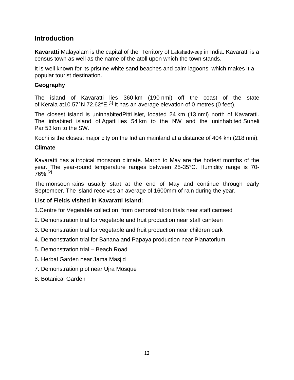# **Introduction**

**Kavaratti** [Malayalam](http://en.wikipedia.org/wiki/Malayalam_language) is the capital of the [Territory](http://en.wikipedia.org/wiki/Union_Territory) of Lakshadweep in [India.](http://en.wikipedia.org/wiki/India) Kavaratti is a census town as well as the name of the [atoll](http://en.wikipedia.org/wiki/Atoll) upon which the town stands.

It is well known for its pristine white sand beaches and calm lagoons, which makes it a popular tourist destination.

# **Geography**

The island of Kavaratti lies 360 km (190 nmi) off the coast of the state of [Kerala](http://en.wikipedia.org/wiki/Kerala) a[t10.57°N 72.62°E.](http://toolserver.org/~geohack/geohack.php?pagename=Kavaratti¶ms=10.57_N_72.62_E_)<sup>[\[1\]](http://en.wikipedia.org/wiki/Kavaratti#cite_note-1)</sup> It has an average elevation of 0 metres (0 feet).

The closest island is uninhabite[dPitti](http://en.wikipedia.org/wiki/Pitti) islet, located 24 km (13 nmi) north of Kavaratti. The inhabited island of [Agatti](http://en.wikipedia.org/wiki/Agatti) lies 54 km to the NW and the uninhabited [Suheli](http://en.wikipedia.org/wiki/Suheli_Par)  [Par](http://en.wikipedia.org/wiki/Suheli_Par) 53 km to the SW.

[Kochi](http://en.wikipedia.org/wiki/Kochi) is the closest major city on the Indian mainland at a distance of 404 km (218 nmi).

## **Climate**

Kavaratti has a [tropical monsoon climate.](http://en.wikipedia.org/wiki/Tropical_monsoon_climate) March to May are the hottest months of the year. The year-round temperature ranges between 25-35°C. Humidity range is 70-  $76\%$ <sup>[\[2\]](http://en.wikipedia.org/wiki/Kavaratti#cite_note-lakshadweep-climate-2)</sup>

The [monsoon](http://en.wikipedia.org/wiki/Monsoon) rains usually start at the end of May and continue through early September. The island receives an average of 1600mm of rain during the year.

## **List of Fields visited in Kavaratti Island:**

1.Centre for Vegetable collection from demonstration trials near staff canteed

- 2. Demonstration trial for vegetable and fruit production near staff canteen
- 3. Demonstration trial for vegetable and fruit production near children park
- 4. Demonstration trial for Banana and Papaya production near Planatorium
- 5. Demonstration trial Beach Road
- 6. Herbal Garden near Jama Masjid
- 7. Demonstration plot near Ujra Mosque
- 8. Botanical Garden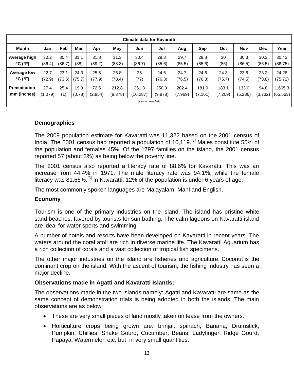|                      | Climate data for Kavaratti |        |        |         |         |                   |         |         |         |         |         |         |          |
|----------------------|----------------------------|--------|--------|---------|---------|-------------------|---------|---------|---------|---------|---------|---------|----------|
| <b>Month</b>         | Jan                        | Feb    | Mar    | Apr     | May     | Jun               | Jul     | Aug     | Sep     | Oct     | Nov     | Dec     | Year     |
| Average high         | 30.2                       | 30.4   | 31.1   | 31.8    | 31.3    | 30.4              | 29.8    | 29.7    | 29.8    | 30      | 30.3    | 30.3    | 30.43    |
| $°C$ ( $°F$ )        | (86.4)                     | (86.7) | (88)   | (89.2)  | (88.3)  | (86.7)            | (85.6)  | (85.5)  | (85.6)  | (86)    | (86.5)  | (86.5)  | (86.75)  |
| Average low          | 22.7                       | 23.1   | 24.3   | 25.5    | 25.8    | 25                | 24.6    | 24.7    | 24.6    | 24.3    | 23.6    | 23.2    | 24.28    |
| $°C$ ( $°F$ )        | (72.9)                     | (73.6) | (75.7) | (77.9)  | (78.4)  | (77)              | (76.3)  | (76.5)  | (76.3)  | (75.7)  | (74.5)  | (73.8)  | (75.72)  |
| <b>Precipitation</b> | 27.4                       | 25.4   | 19.8   | 72.5    | 212.8   | 261.3             | 250.9   | 202.4   | 181.9   | 183.1   | 133.0   | 94.8    | 1,665.3  |
| mm (inches)          | (1.079)                    | (1)    | (0.78) | (2.854) | (8.378) | (10.287)          | (9.878) | (7.969) | (7.161) | (7.209) | (5.236) | (3.732) | (65.563) |
|                      |                            |        |        |         |         | [citation needed] |         |         |         |         |         |         |          |
|                      |                            |        |        |         |         |                   |         |         |         |         |         |         |          |

#### **Demographics**

The 2009 population estimate for Kavaratti was 11,322 based on the [2001 census of](http://en.wikipedia.org/wiki/2001_census_of_India)  [India.](http://en.wikipedia.org/wiki/2001_census_of_India) The 2001 census had reported a population of 10,119.<sup>[\[3\]](http://en.wikipedia.org/wiki/Kavaratti#cite_note-lakshadweep-kavaratti-3)</sup> Males constitute 55% of the population and females 45%. Of the 1797 families on the island, the 2001 census reported 57 (about 3%) as being below the [poverty line.](http://en.wikipedia.org/wiki/Poverty_line_in_India)

The 2001 census also reported a literacy rate of 88.6% for Kavaratti. This was an increase from 44.4% in 1971. The male literacy rate was 94.1%, while the female literacy was 81.66%.<sup>[\[3\]](http://en.wikipedia.org/wiki/Kavaratti#cite_note-lakshadweep-kavaratti-3)</sup> In Kavaratti, 12% of the population is under 6 years of age.

The most commonly spoken languages are [Malayalam,](http://en.wikipedia.org/wiki/Malayalam) [Mahl](http://en.wikipedia.org/wiki/Mahl_dialect) and [English.](http://en.wikipedia.org/wiki/English_language)

#### **Economy**

Tourism is one of the primary industries on the island. The island has pristine white sand beaches, favored by tourists for sun bathing. The calm lagoons on Kavaratti island are ideal for water sports and swimming.

A number of hotels and resorts have been developed on Kavaratti in recent years. The waters around the coral atoll are rich in diverse marine life. The Kavaratti Aquarium has a rich collection of corals and a vast collection of tropical fish specimens.

The other major industries on the island are fisheries and agriculture. [Coconut](http://en.wikipedia.org/wiki/Coconut) is the dominant crop on the island. With the ascent of tourism, the fishing industry has seen a major decline.

#### **Observations made in Agatti and Kavaratti Islands:**

The observations made in the two islands namely: Agatti and Kavaratti are same as the same concept of demonstration trials is being adopted in both the islands. The main observations are as below:

- These are very small pieces of land mostly taken on lease from the owners.
- Horticulture crops being grown are: brinjal, spinach, Banana, Drumstick, Pumpkin, Chillies, Snake Gourd, Cucumber, Beans, Ladyfinger, Ridge Gourd, Papaya, Watermelon etc. but in very small quantities.